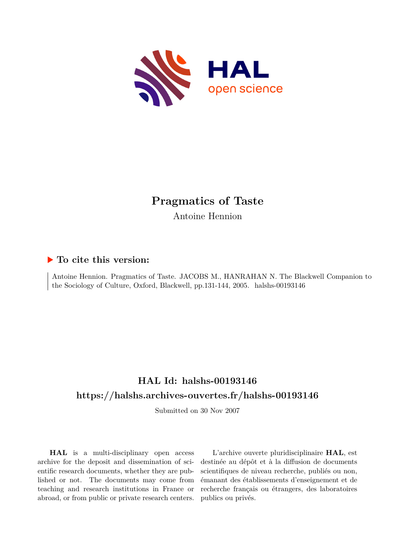

# **Pragmatics of Taste**

Antoine Hennion

# **To cite this version:**

Antoine Hennion. Pragmatics of Taste. JACOBS M., HANRAHAN N. The Blackwell Companion to the Sociology of Culture, Oxford, Blackwell, pp.131-144, 2005. halshs-00193146

# **HAL Id: halshs-00193146 <https://halshs.archives-ouvertes.fr/halshs-00193146>**

Submitted on 30 Nov 2007

**HAL** is a multi-disciplinary open access archive for the deposit and dissemination of scientific research documents, whether they are published or not. The documents may come from teaching and research institutions in France or abroad, or from public or private research centers.

L'archive ouverte pluridisciplinaire **HAL**, est destinée au dépôt et à la diffusion de documents scientifiques de niveau recherche, publiés ou non, émanant des établissements d'enseignement et de recherche français ou étrangers, des laboratoires publics ou privés.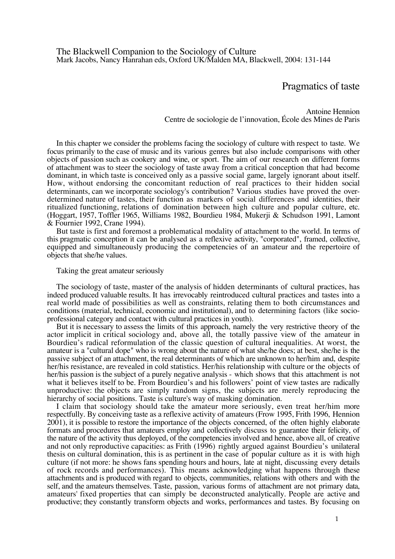# Pragmatics of taste

Antoine Hennion Centre de sociologie de l'innovation, École des Mines de Paris

In this chapter we consider the problems facing the sociology of culture with respect to taste. We focus primarily to the case of music and its various genres but also include comparisons with other objects of passion such as cookery and wine, or sport. The aim of our research on different forms of attachment was to steer the sociology of taste away from a critical conception that had become dominant, in which taste is conceived only as a passive social game, largely ignorant about itself. How, without endorsing the concomitant reduction of real practices to their hidden social determinants, can we incorporate sociology's contribution? Various studies have proved the overdetermined nature of tastes, their function as markers of social differences and identities, their ritualized functioning, relations of domination between high culture and popular culture, etc. (Hoggart, 1957, Toffler 1965, Williams 1982, Bourdieu 1984, Mukerji & Schudson 1991, Lamont & Fournier 1992, Crane 1994).

But taste is first and foremost a problematical modality of attachment to the world. In terms of this pragmatic conception it can be analysed as a reflexive activity, "corporated", framed, collective, equipped and simultaneously producing the competencies of an amateur and the repertoire of objects that she/he values.

## Taking the great amateur seriously

The sociology of taste, master of the analysis of hidden determinants of cultural practices, has indeed produced valuable results. It has irrevocably reintroduced cultural practices and tastes into a real world made of possibilities as well as constraints, relating them to both circumstances and conditions (material, technical, economic and institutional), and to determining factors (like socioprofessional category and contact with cultural practices in youth).

But it is necessary to assess the limits of this approach, namely the very restrictive theory of the actor implicit in critical sociology and, above all, the totally passive view of the amateur in Bourdieu's radical reformulation of the classic question of cultural inequalities. At worst, the amateur is a "cultural dope" who is wrong about the nature of what she/he does; at best, she/he is the passive subject of an attachment, the real determinants of which are unknown to her/him and, despite her/his resistance, are revealed in cold statistics. Her/his relationship with culture or the objects of her/his passion is the subject of a purely negative analysis - which shows that this attachment is not what it believes itself to be. From Bourdieu's and his followers' point of view tastes are radically unproductive: the objects are simply random signs, the subjects are merely reproducing the hierarchy of social positions. Taste is culture's way of masking domination.

I claim that sociology should take the amateur more seriously, even treat her/him more respectfully. By conceiving taste as a reflexive activity of amateurs (Frow 1995, Frith 1996, Hennion 2001), it is possible to restore the importance of the objects concerned, of the often highly elaborate formats and procedures that amateurs employ and collectively discuss to guarantee their felicity, of the nature of the activity thus deployed, of the competencies involved and hence, above all, of creative and not only reproductive capacities: as Frith (1996) rightly argued against Bourdieu's unilateral thesis on cultural domination, this is as pertinent in the case of popular culture as it is with high culture (if not more: he shows fans spending hours and hours, late at night, discussing every details of rock records and performances). This means acknowledging what happens through these attachments and is produced with regard to objects, communities, relations with others and with the self, and the amateurs themselves. Taste, passion, various forms of attachment are not primary data, amateurs' fixed properties that can simply be deconstructed analytically. People are active and productive; they constantly transform objects and works, performances and tastes. By focusing on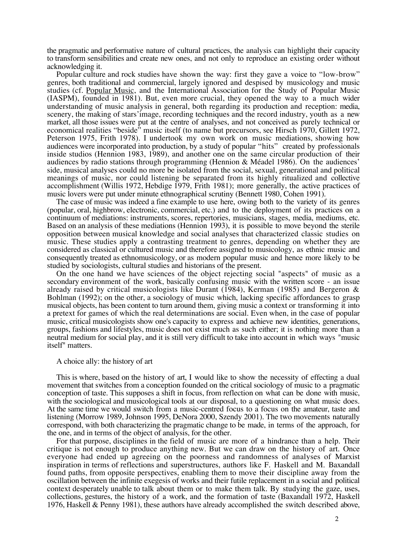the pragmatic and performative nature of cultural practices, the analysis can highlight their capacity to transform sensibilities and create new ones, and not only to reproduce an existing order without acknowledging it.

Popular culture and rock studies have shown the way: first they gave a voice to "low-brow" genres, both traditional and commercial, largely ignored and despised by musicology and music studies (cf. Popular Music, and the International Association for the Study of Popular Music (IASPM), founded in 1981). But, even more crucial, they opened the way to a much wider understanding of music analysis in general, both regarding its production and reception: media, scenery, the making of stars'image, recording techniques and the record industry, youth as a new market, all those issues were put at the centre of analyses, and not conceived as purely technical or economical realities "beside" music itself (to name but precursors, see Hirsch 1970, Gillett 1972, Peterson 1975, Frith 1978). I undertook my own work on music mediations, showing how audiences were incorporated into production, by a study of popular "hits" created by professionals inside studios (Hennion 1983, 1989), and another one on the same circular production of their audiences by radio stations through programming (Hennion & Méadel 1986). On the audiences' side, musical analyses could no more be isolated from the social, sexual, generational and political meanings of music, nor could listening be separated from its highly ritualized and collective accomplishment (Willis 1972, Hebdige 1979, Frith 1981); more generally, the active practices of music lovers were put under minute ethnographical scrutiny (Bennett 1980, Cohen 1991).

The case of music was indeed a fine example to use here, owing both to the variety of its genres (popular, oral, highbrow, electronic, commercial, etc.) and to the deployment of its practices on a continuum of mediations: instruments, scores, repertories, musicians, stages, media, mediums, etc. Based on an analysis of these mediations (Hennion 1993), it is possible to move beyond the sterile opposition between musical knowledge and social analyses that characterized classic studies on music. These studies apply a contrasting treatment to genres, depending on whether they are considered as classical or cultured music and therefore assigned to musicology, as ethnic music and consequently treated as ethnomusicology, or as modern popular music and hence more likely to be studied by sociologists, cultural studies and historians of the present.

On the one hand we have sciences of the object rejecting social "aspects" of music as a secondary environment of the work, basically confusing music with the written score - an issue already raised by critical musicologists like Durant (1984), Kerman (1985) and Bergeron  $\&$ Bohlman (1992); on the other, a sociology of music which, lacking specific affordances to grasp musical objects, has been content to turn around them, giving music a context or transforming it into a pretext for games of which the real determinations are social. Even when, in the case of popular music, critical musicologists show one's capacity to express and achieve new identities, generations, groups, fashions and lifestyles, music does not exist much as such either; it is nothing more than a neutral medium for social play, and it is still very difficult to take into account in which ways "music itself" matters.

### A choice ally: the history of art

This is where, based on the history of art, I would like to show the necessity of effecting a dual movement that switches from a conception founded on the critical sociology of music to a pragmatic conception of taste. This supposes a shift in focus, from reflection on what can be done with music, with the sociological and musicological tools at our disposal, to a questioning on what music does. At the same time we would switch from a music-centred focus to a focus on the amateur, taste and listening (Morrow 1989, Johnson 1995, DeNora 2000, Szendy 2001). The two movements naturally correspond, with both characterizing the pragmatic change to be made, in terms of the approach, for the one, and in terms of the object of analysis, for the other.

For that purpose, disciplines in the field of music are more of a hindrance than a help. Their critique is not enough to produce anything new. But we can draw on the history of art. Once everyone had ended up agreeing on the poorness and randomness of analyses of Marxist inspiration in terms of reflections and superstructures, authors like F. Haskell and M. Baxandall found paths, from opposite perspectives, enabling them to move their discipline away from the oscillation between the infinite exegesis of works and their futile replacement in a social and political context desperately unable to talk about them or to make them talk. By studying the gaze, uses, collections, gestures, the history of a work, and the formation of taste (Baxandall 1972, Haskell 1976, Haskell & Penny 1981), these authors have already accomplished the switch described above,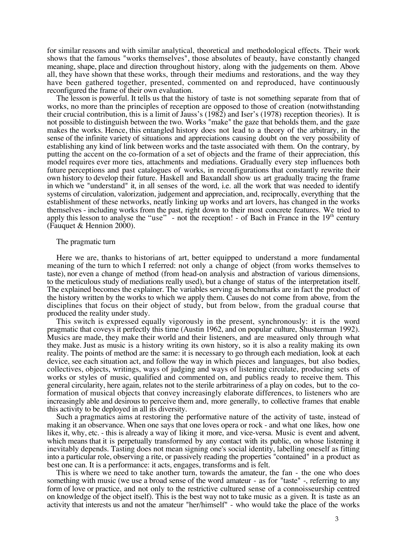for similar reasons and with similar analytical, theoretical and methodological effects. Their work shows that the famous "works themselves", those absolutes of beauty, have constantly changed meaning, shape, place and direction throughout history, along with the judgements on them. Above all, they have shown that these works, through their mediums and restorations, and the way they have been gathered together, presented, commented on and reproduced, have continuously reconfigured the frame of their own evaluation.

The lesson is powerful. It tells us that the history of taste is not something separate from that of works, no more than the principles of reception are opposed to those of creation (notwithstanding their crucial contribution, this is a limit of Jauss's (1982) and Iser's (1978) reception theories). It is not possible to distinguish between the two. Works "make" the gaze that beholds them, and the gaze makes the works. Hence, this entangled history does not lead to a theory of the arbitrary, in the sense of the infinite variety of situations and appreciations causing doubt on the very possibility of establishing any kind of link between works and the taste associated with them. On the contrary, by putting the accent on the co-formation of a set of objects and the frame of their appreciation, this model requires ever more ties, attachments and mediations. Gradually every step influences both future perceptions and past catalogues of works, in reconfigurations that constantly rewrite their own history to develop their future. Haskell and Baxandall show us art gradually tracing the frame in which we "understand" it, in all senses of the word, i.e. all the work that was needed to identify systems of circulation, valorization, judgement and appreciation, and, reciprocally, everything that the establishment of these networks, neatly linking up works and art lovers, has changed in the works themselves - including works from the past, right down to their most concrete features. We tried to apply this lesson to analyse the "use" - not the reception! - of Bach in France in the 19<sup>th</sup> century (Fauquet & Hennion 2000).

#### The pragmatic turn

Here we are, thanks to historians of art, better equipped to understand a more fundamental meaning of the turn to which I referred: not only a change of object (from works themselves to taste), nor even a change of method (from head-on analysis and abstraction of various dimensions, to the meticulous study of mediations really used), but a change of status of the interpretation itself. The explained becomes the explainer. The variables serving as benchmarks are in fact the product of the history written by the works to which we apply them. Causes do not come from above, from the disciplines that focus on their object of study, but from below, from the gradual course that produced the reality under study.

This switch is expressed equally vigorously in the present, synchronously: it is the word pragmatic that coveys it perfectly this time (Austin 1962, and on popular culture, Shusterman 1992). Musics are made, they make their world and their listeners, and are measured only through what they make. Just as music is a history writing its own history, so it is also a reality making its own reality. The points of method are the same: it is necessary to go through each mediation, look at each device, see each situation act, and follow the way in which pieces and languages, but also bodies, collectives, objects, writings, ways of judging and ways of listening circulate, producing sets of works or styles of music, qualified and commented on, and publics ready to receive them. This general circularity, here again, relates not to the sterile arbitrariness of a play on codes, but to the coformation of musical objects that convey increasingly elaborate differences, to listeners who are increasingly able and desirous to perceive them and, more generally, to collective frames that enable this activity to be deployed in all its diversity.

Such a pragmatics aims at restoring the performative nature of the activity of taste, instead of making it an observance. When one says that one loves opera or rock - and what one likes, how one likes it, why, etc. - this is already a way of liking it more, and vice-versa. Music is event and advent, which means that it is perpetually transformed by any contact with its public, on whose listening it inevitably depends. Tasting does not mean signing one's social identity, labelling oneself as fitting into a particular role, observing a rite, or passively reading the properties "contained" in a product as best one can. It is a performance: it acts, engages, transforms and is felt.

This is where we need to take another turn, towards the amateur, the fan - the one who does something with music (we use a broad sense of the word amateur - as for "taste" -, referring to any form of love or practice, and not only to the restrictive cultured sense of a connoisseurship centred on knowledge of the object itself). This is the best way not to take music as a given. It is taste as an activity that interests us and not the amateur "her/himself" - who would take the place of the works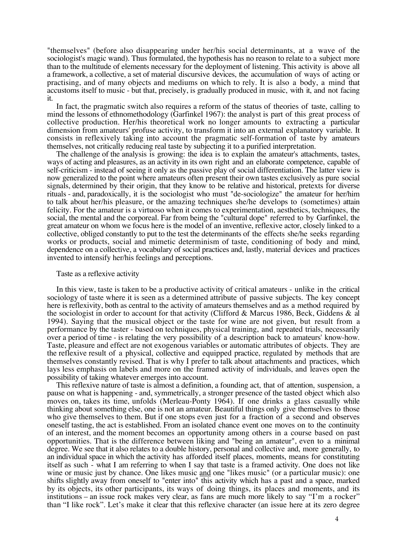"themselves" (before also disappearing under her/his social determinants, at a wave of the sociologist's magic wand). Thus formulated, the hypothesis has no reason to relate to a subject more than to the multitude of elements necessary for the deployment of listening. This activity is above all a framework, a collective, a set of material discursive devices, the accumulation of ways of acting or practising, and of many objects and mediums on which to rely. It is also a body, a mind that accustoms itself to music - but that, precisely, is gradually produced in music, with it, and not facing it.

In fact, the pragmatic switch also requires a reform of the status of theories of taste, calling to mind the lessons of ethnomethodology (Garfinkel 1967): the analyst is part of this great process of collective production. Her/his theoretical work no longer amounts to extracting a particular dimension from amateurs' profuse activity, to transform it into an external explanatory variable. It consists in reflexively taking into account the pragmatic self-formation of taste by amateurs themselves, not critically reducing real taste by subjecting it to a purified interpretation.

The challenge of the analysis is growing: the idea is to explain the amateur's attachments, tastes, ways of acting and pleasures, as an activity in its own right and an elaborate competence, capable of self-criticism - instead of seeing it only as the passive play of social differentiation. The latter view is now generalized to the point where amateurs often present their own tastes exclusively as pure social signals, determined by their origin, that they know to be relative and historical, pretexts for diverse rituals - and, paradoxically, it is the sociologist who must "de-sociologize" the amateur for her/him to talk about her/his pleasure, or the amazing techniques she/he develops to (sometimes) attain felicity. For the amateur is a virtuoso when it comes to experimentation, aesthetics, techniques, the social, the mental and the corporeal. Far from being the "cultural dope" referred to by Garfinkel, the great amateur on whom we focus here is the model of an inventive, reflexive actor, closely linked to a collective, obliged constantly to put to the test the determinants of the effects she/he seeks regarding works or products, social and mimetic determinism of taste, conditioning of body and mind, dependence on a collective, a vocabulary of social practices and, lastly, material devices and practices invented to intensify her/his feelings and perceptions.

### Taste as a reflexive activity

In this view, taste is taken to be a productive activity of critical amateurs - unlike in the critical sociology of taste where it is seen as a determined attribute of passive subjects. The key concept here is reflexivity, both as central to the activity of amateurs themselves and as a method required by the sociologist in order to account for that activity (Clifford & Marcus 1986, Beck, Giddens  $\&$  al 1994). Saying that the musical object or the taste for wine are not given, but result from a performance by the taster - based on techniques, physical training, and repeated trials, necessarily over a period of time - is relating the very possibility of a description back to amateurs' know-how. Taste, pleasure and effect are not exogenous variables or automatic attributes of objects. They are the reflexive result of a physical, collective and equipped practice, regulated by methods that are themselves constantly revised. That is why I prefer to talk about attachments and practices, which lays less emphasis on labels and more on the framed activity of individuals, and leaves open the possibility of taking whatever emerges into account.

This reflexive nature of taste is almost a definition, a founding act, that of attention, suspension, a pause on what is happening - and, symmetrically, a stronger presence of the tasted object which also moves on, takes its time, unfolds (Merleau-Ponty 1964). If one drinks a glass casually while thinking about something else, one is not an amateur. Beautiful things only give themselves to those who give themselves to them. But if one stops even just for a fraction of a second and observes oneself tasting, the act is established. From an isolated chance event one moves on to the continuity of an interest, and the moment becomes an opportunity among others in a course based on past opportunities. That is the difference between liking and "being an amateur", even to a minimal degree. We see that it also relates to a double history, personal and collective and, more generally, to an individual space in which the activity has afforded itself places, moments, means for constituting itself as such - what I am referring to when I say that taste is a framed activity. One does not like wine or music just by chance. One likes music and one "likes music" (or a particular music): one shifts slightly away from oneself to "enter into" this activity which has a past and a space, marked by its objects, its other participants, its ways of doing things, its places and moments, and its institutions – an issue rock makes very clear, as fans are much more likely to say "I'm a rocker" than "I like rock". Let's make it clear that this reflexive character (an issue here at its zero degree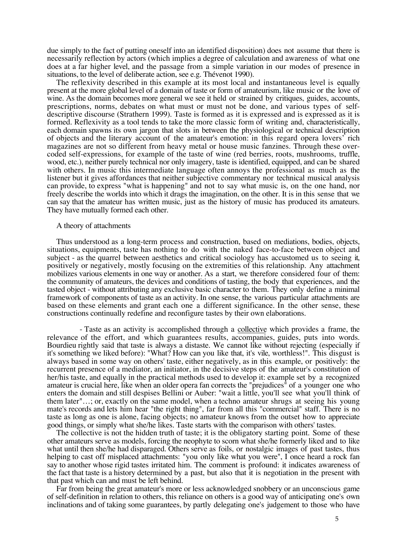due simply to the fact of putting oneself into an identified disposition) does not assume that there is necessarily reflection by actors (which implies a degree of calculation and awareness of what one does at a far higher level, and the passage from a simple variation in our modes of presence in situations, to the level of deliberate action, see e.g. Thévenot 1990).

The reflexivity described in this example at its most local and instantaneous level is equally present at the more global level of a domain of taste or form of amateurism, like music or the love of wine. As the domain becomes more general we see it held or strained by critiques, guides, accounts, prescriptions, norms, debates on what must or must not be done, and various types of selfdescriptive discourse (Strathern 1999). Taste is formed as it is expressed and is expressed as it is formed. Reflexivity as a tool tends to take the more classic form of writing and, characteristically, each domain spawns its own jargon that slots in between the physiological or technical description of objects and the literary account of the amateur's emotion: in this regard opera lovers' rich magazines are not so different from heavy metal or house music fanzines. Through these overcoded self-expressions, for example of the taste of wine (red berries, roots, mushrooms, truffle, wood, etc.), neither purely technical nor only imagery, taste is identified, equipped, and can be shared with others. In music this intermediate language often annoys the professional as much as the listener but it gives affordances that neither subjective commentary nor technical musical analysis can provide, to express "what is happening" and not to say what music is, on the one hand, nor freely describe the worlds into which it drags the imagination, on the other. It is in this sense that we can say that the amateur has written music, just as the history of music has produced its amateurs. They have mutually formed each other.

## A theory of attachments

Thus understood as a long-term process and construction, based on mediations, bodies, objects, situations, equipments, taste has nothing to do with the naked face-to-face between object and subject - as the quarrel between aesthetics and critical sociology has accustomed us to seeing it, positively or negatively, mostly focusing on the extremities of this relationship. Any attachment mobilizes various elements in one way or another. As a start, we therefore considered four of them: the community of amateurs, the devices and conditions of tasting, the body that experiences, and the tasted object - without attributing any exclusive basic character to them. They only define a minimal framework of components of taste as an activity. In one sense, the various particular attachments are based on these elements and grant each one a different significance. In the other sense, these constructions continually redefine and reconfigure tastes by their own elaborations.

- Taste as an activity is accomplished through a collective which provides a frame, the relevance of the effort, and which guarantees results, accompanies, guides, puts into words. Bourdieu rightly said that taste is always a distaste. We cannot like without rejecting (especially if it's something we liked before): "What? How can you like that, it's vile, worthless!". This disgust is always based in some way on others' taste, either negatively, as in this example, or positively: the recurrent presence of a mediator, an initiator, in the decisive steps of the amateur's constitution of her/his taste, and equally in the practical methods used to develop it: example set by a recognized amateur is crucial here, like when an older opera fan corrects the "prejudices" of a younger one who enters the domain and still despises Bellini or Auber: "wait a little, you'll see what you'll think of them later"…; or, exactly on the same model, when a techno amateur shrugs at seeing his young mate's records and lets him hear "the right thing", far from all this "commercial" staff. There is no taste as long as one is alone, facing objects; no amateur knows from the outset how to appreciate good things, or simply what she/he likes. Taste starts with the comparison with others' tastes.

The collective is not the hidden truth of taste; it is the obligatory starting point. Some of these other amateurs serve as models, forcing the neophyte to scorn what she/he formerly liked and to like what until then she/he had disparaged. Others serve as foils, or nostalgic images of past tastes, thus helping to cast off misplaced attachments: "you only like what you were", I once heard a rock fan say to another whose rigid tastes irritated him. The comment is profound: it indicates awareness of the fact that taste is a history determined by a past, but also that it is negotiation in the present with that past which can and must be left behind.

Far from being the great amateur's more or less acknowledged snobbery or an unconscious game of self-definition in relation to others, this reliance on others is a good way of anticipating one's own inclinations and of taking some guarantees, by partly delegating one's judgement to those who have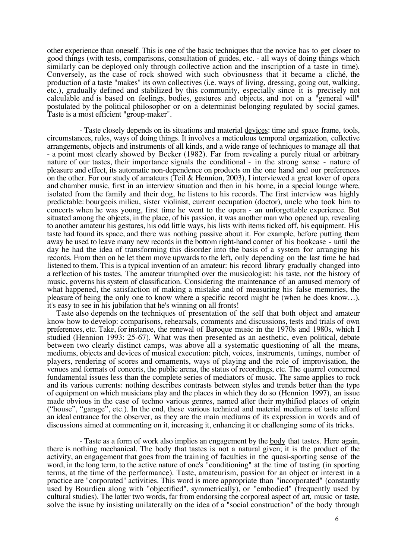other experience than oneself. This is one of the basic techniques that the novice has to get closer to good things (with tests, comparisons, consultation of guides, etc. - all ways of doing things which similarly can be deployed only through collective action and the inscription of a taste in time). Conversely, as the case of rock showed with such obviousness that it became a cliché, the production of a taste "makes" its own collectives (i.e. ways of living, dressing, going out, walking, etc.), gradually defined and stabilized by this community, especially since it is precisely not calculable and is based on feelings, bodies, gestures and objects, and not on a "general will" postulated by the political philosopher or on a determinist belonging regulated by social games. Taste is a most efficient "group-maker".

- Taste closely depends on its situations and material devices: time and space frame, tools, circumstances, rules, ways of doing things. It involves a meticulous temporal organization, collective arrangements, objects and instruments of all kinds, and a wide range of techniques to manage all that - a point most clearly showed by Becker (1982). Far from revealing a purely ritual or arbitrary nature of our tastes, their importance signals the conditional - in the strong sense - nature of pleasure and effect, its automatic non-dependence on products on the one hand and our preferences on the other. For our study of amateurs (Teil & Hennion, 2003), I interviewed a great lover of opera and chamber music, first in an interview situation and then in his home, in a special lounge where, isolated from the family and their dog, he listens to his records. The first interview was highly predictable: bourgeois milieu, sister violinist, current occupation (doctor), uncle who took him to concerts when he was young, first time he went to the opera - an unforgettable experience. But situated among the objects, in the place, of his passion, it was another man who opened up, revealing to another amateur his gestures, his odd little ways, his lists with items ticked off, his equipment. His taste had found its space, and there was nothing passive about it. For example, before putting them away he used to leave many new records in the bottom right-hand corner of his bookcase - until the day he had the idea of transforming this disorder into the basis of a system for arranging his records. From then on he let them move upwards to the left, only depending on the last time he had listened to them. This is a typical invention of an amateur: his record library gradually changed into a reflection of his tastes. The amateur triumphed over the musicologist: his taste, not the history of music, governs his system of classification. Considering the maintenance of an amused memory of what happened, the satisfaction of making a mistake and of measuring his false memories, the pleasure of being the only one to know where a specific record might be (when he does know…), it's easy to see in his jubilation that he's winning on all fronts!

Taste also depends on the techniques of presentation of the self that both object and amateur know how to develop: comparisons, rehearsals, comments and discussions, tests and trials of own preferences, etc. Take, for instance, the renewal of Baroque music in the 1970s and 1980s, which I studied (Hennion 1993: 25-67). What was then presented as an aesthetic, even political, debate between two clearly distinct camps, was above all a systematic questioning of all the means, mediums, objects and devices of musical execution: pitch, voices, instruments, tunings, number of players, rendering of scores and ornaments, ways of playing and the role of improvisation, the venues and formats of concerts, the public arena, the status of recordings, etc. The quarrel concerned fundamental issues less than the complete series of mediators of music. The same applies to rock and its various currents: nothing describes contrasts between styles and trends better than the type of equipment on which musicians play and the places in which they do so (Hennion 1997), an issue made obvious in the case of techno various genres, named after their mythified places of origin ("house", "garage", etc.). In the end, these various technical and material mediums of taste afford an ideal entrance for the observer, as they are the main mediums of its expression in words and of discussions aimed at commenting on it, increasing it, enhancing it or challenging some of its tricks.

- Taste as a form of work also implies an engagement by the body that tastes. Here again, there is nothing mechanical. The body that tastes is not a natural given; it is the product of the activity, an engagement that goes from the training of faculties in the quasi-sporting sense of the word, in the long term, to the active nature of one's "conditioning" at the time of tasting (in sporting terms, at the time of the performance). Taste, amateurism, passion for an object or interest in a practice are "corporated" activities. This word is more appropriate than "incorporated" (constantly used by Bourdieu along with "objectified", symmetrically), or "embodied" (frequently used by cultural studies). The latter two words, far from endorsing the corporeal aspect of art, music or taste, solve the issue by insisting unilaterally on the idea of a "social construction" of the body through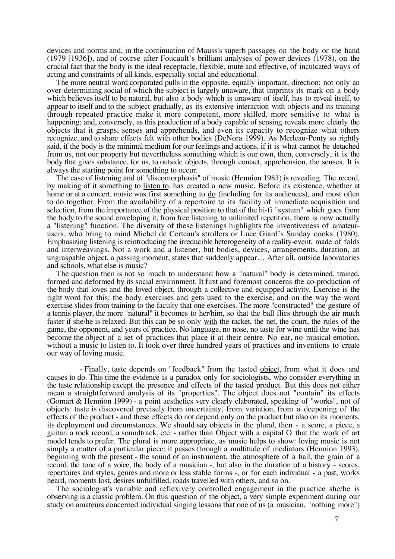devices and norms and, in the continuation of Mauss's superb passages on the body or the hand (1979 [1936]), and of course after Foucault's brilliant analyses of power devices (1978), on the crucial fact that the body is the ideal receptacle, flexible, mute and effective, of inculcated ways of acting and constraints of all kinds, especially social and educational.

The more neutral word corporated pulls in the opposite, equally important, direction: not only an over-determining social of which the subject is largely unaware, that imprints its mark on a body which believes itself to be natural, but also a body which is unaware of itself, has to reveal itself, to appear to itself and to the subject gradually, as its extensive interaction with objects and its training through repeated practice make it more competent, more skilled, more sensitive to what is happening; and, conversely, as this production of a body capable of sensing reveals more clearly the objects that it grasps, senses and apprehends, and even its capacity to recognize what others recognize, and to share effects felt with other bodies (DeNora 1999). As Merleau-Ponty so rightly said, if the body is the minimal medium for our feelings and actions, if it is what cannot be detached from us, not our property but nevertheless something which is our own, then, conversely, it is the body that gives substance, for us, to outside objects, through contact, apprehension, the senses. It is always the starting point for something to occur.

The case of listening and of "discomorphosis" of music (Hennion 1981) is revealing. The record, by making of it something to listen to, has created a new music. Before its existence, whether at home or at a concert, music was first something to  $\underline{do}$  (including for its audiences), and most often to do together. From the availability of a repertoire to its facility of immediate acquisition and selection, from the importance of the physical position to that of the hi-fi "system" which goes from the body to the sound enveloping it, from free listening to unlimited repetition, there is now actually a "listening" function. The diversity of these listenings highlights the inventiveness of amateurusers, who bring to mind Michel de Certeau's strollers or Luce Giard's Sunday cooks (1980). Emphasizing listening is reintroducing the irreducible heterogeneity of a reality-event, made of folds and interweavings. Not a work and a listener, but bodies, devices, arrangements, duration, an ungraspable object, a passing moment, states that suddenly appear… After all, outside laboratories and schools, what else is music?

The question then is not so much to understand how a "natural" body is determined, trained, formed and deformed by its social environment. It first and foremost concerns the co-production of the body that loves and the loved object, through a collective and equipped activity. Exercise is the right word for this: the body exercises and gets used to the exercise, and on the way the word exercise slides from training to the faculty that one exercises. The more "constructed" the gesture of a tennis player, the more "natural" it becomes to her/him, so that the ball flies through the air much faster if she/he is relaxed. But this can be so only with the racket, the net, the court, the rules of the game, the opponent, and years of practice. No language, no nose, no taste for wine until the wine has become the object of a set of practices that place it at their centre. No ear, no musical emotion, without a music to listen to. It took over three hundred years of practices and inventions to create our way of loving music.

- Finally, taste depends on "feedback" from the tasted object, from what it does and causes to do. This time the evidence is a paradox only for sociologists, who consider everything in the taste relationship except the presence and effects of the tasted product. But this does not either mean a straightforward analysis of its "properties". The object does not "contain" its effects (Gomart & Hennion 1999) - a point aesthetics very clearly elaborated, speaking of "works", not of objects: taste is discovered precisely from uncertainty, from variation, from a deepening of the effects of the product - and these effects do not depend only on the product but also on its moments, its deployment and circumstances. We should say objects in the plural, then - a score, a piece, a guitar, a rock record, a soundtrack, etc. - rather than Object with a capital O that the work of art model tends to prefer. The plural is more appropriate, as music helps to show: loving music is not simply a matter of a particular piece; it passes through a multitude of mediators (Hennion 1993), beginning with the present - the sound of an instrument, the atmosphere of a hall, the grain of a record, the tone of a voice, the body of a musician -, but also in the duration of a history - scores, repertoires and styles, genres and more or less stable forms -, or for each individual - a past, works heard, moments lost, desires unfulfilled, roads travelled with others, and so on.

The sociologist's variable and reflexively controlled engagement in the practice she/he is observing is a classic problem. On this question of the object, a very simple experiment during our study on amateurs concerned individual singing lessons that one of us (a musician, "nothing more")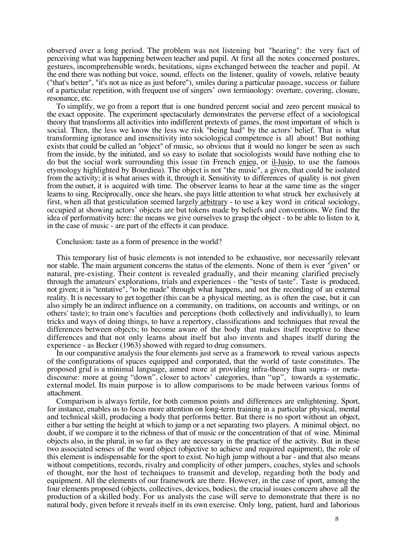observed over a long period. The problem was not listening but "hearing": the very fact of perceiving what was happening between teacher and pupil. At first all the notes concerned postures, gestures, incomprehensible words, hesitations, signs exchanged between the teacher and pupil. At the end there was nothing but voice, sound, effects on the listener, quality of vowels, relative beauty ("that's better", "it's not as nice as just before"), smiles during a particular passage, success or failure of a particular repetition, with frequent use of singers' own terminology: overture, covering, closure, resonance, etc.

To simplify, we go from a report that is one hundred percent social and zero percent musical to the exact opposite. The experiment spectacularly demonstrates the perverse effect of a sociological theory that transforms all activities into indifferent pretexts of games, the most important of which is social. Then, the less we know the less we risk "being had" by the actors' belief. That is what transforming ignorance and insensitivity into sociological competence is all about! But nothing exists that could be called an "object" of music, so obvious that it would no longer be seen as such from the inside, by the initiated, and so easy to isolate that sociologists would have nothing else to do but the social work surrounding this issue (in French enjeu, or il-lusio, to use the famous etymology highlighted by Bourdieu). The object is not "the music", a given, that could be isolated from the activity; it is what arises with it, through it. Sensitivity to differences of quality is not given from the outset, it is acquired with time. The observer learns to hear at the same time as the singer learns to sing. Reciprocally, once she hears, she pays little attention to what struck her exclusively at first, when all that gesticulation seemed largely arbitrary - to use a key word in critical sociology, occupied at showing actors' objects are but tokens made by beliefs and conventions. We find the idea of performativity here: the means we give ourselves to grasp the object - to be able to listen to it, in the case of music - are part of the effects it can produce.

Conclusion: taste as a form of presence in the world?

This temporary list of basic elements is not intended to be exhaustive, nor necessarily relevant nor stable. The main argument concerns the status of the elements. None of them is ever "given" or natural, pre-existing. Their content is revealed gradually, and their meaning clarified precisely through the amateurs' explorations, trials and experiences - the "tests of taste". Taste is produced, not given; it is "tentative", "to be made" through what happens, and not the recording of an external reality. It is necessary to get together (this can be a physical meeting, as is often the case, but it can also simply be an indirect influence on a community, on traditions, on accounts and writings, or on others' taste); to train one's faculties and perceptions (both collectively and individually), to learn tricks and ways of doing things, to have a repertory, classifications and techniques that reveal the differences between objects; to become aware of the body that makes itself receptive to these differences and that not only learns about itself but also invents and shapes itself during the experience - as Becker (1963) showed with regard to drug consumers.

In our comparative analysis the four elements just serve as a framework to reveal various aspects of the configurations of spaces equipped and corporated, that the world of taste constitutes. The proposed grid is a minimal language, aimed more at providing infra-theory than supra- or metadiscourse: more at going "down", closer to actors' categories, than "up", towards a systematic, external model. Its main purpose is to allow comparisons to be made between various forms of attachment.

Comparison is always fertile, for both common points and differences are enlightening. Sport, for instance, enables us to focus more attention on long-term training in a particular physical, mental and technical skill, producing a body that performs better. But there is no sport without an object, either a bar setting the height at which to jump or a net separating two players. A minimal object, no doubt, if we compare it to the richness of that of music or the concentration of that of wine. Minimal objects also, in the plural, in so far as they are necessary in the practice of the activity. But in these two associated senses of the word object (objective to achieve and required equipment), the role of this element is indispensable for the sport to exist. No high jump without a bar - and that also means without competitions, records, rivalry and complicity of other jumpers, coaches, styles and schools of thought, nor the host of techniques to transmit and develop, regarding both the body and equipment. All the elements of our framework are there. However, in the case of sport, among the four elements proposed (objects, collectives, devices, bodies), the crucial issues concern above all the production of a skilled body. For us analysts the case will serve to demonstrate that there is no natural body, given before it reveals itself in its own exercise. Only long, patient, hard and laborious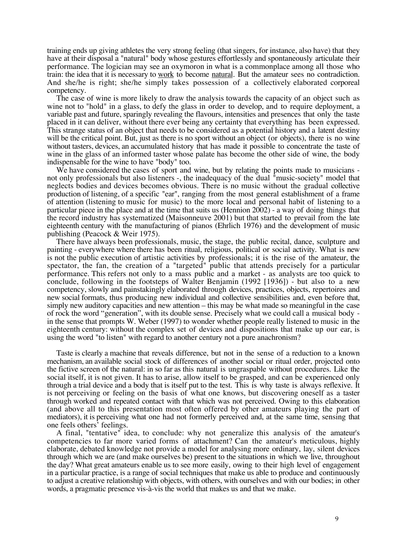training ends up giving athletes the very strong feeling (that singers, for instance, also have) that they have at their disposal a "natural" body whose gestures effortlessly and spontaneously articulate their performance. The logician may see an oxymoron in what is a commonplace among all those who train: the idea that it is necessary to <u>work</u> to become natural. But the amateur sees no contradiction. And she/he is right; she/he simply takes possession of a collectively elaborated corporeal competency.

The case of wine is more likely to draw the analysis towards the capacity of an object such as wine not to "hold" in a glass, to defy the glass in order to develop, and to require deployment, a variable past and future, sparingly revealing the flavours, intensities and presences that only the taste placed in it can deliver, without there ever being any certainty that everything has been expressed. This strange status of an object that needs to be considered as a potential history and a latent destiny will be the critical point. But, just as there is no sport without an object (or objects), there is no wine without tasters, devices, an accumulated history that has made it possible to concentrate the taste of wine in the glass of an informed taster whose palate has become the other side of wine, the body indispensable for the wine to have "body" too.

We have considered the cases of sport and wine, but by relating the points made to musicians not only professionals but also listeners -, the inadequacy of the dual "music-society" model that neglects bodies and devices becomes obvious. There is no music without the gradual collective production of listening, of a specific "ear", ranging from the most general establishment of a frame of attention (listening to music for music) to the more local and personal habit of listening to a particular piece in the place and at the time that suits us (Hennion 2002) - a way of doing things that the record industry has systematized (Maisonneuve 2001) but that started to prevail from the late eighteenth century with the manufacturing of pianos (Ehrlich 1976) and the development of music publishing (Peacock & Weir 1975).

There have always been professionals, music, the stage, the public recital, dance, sculpture and painting - everywhere where there has been ritual, religious, political or social activity. What is new is not the public execution of artistic activities by professionals; it is the rise of the amateur, the spectator, the fan, the creation of a "targeted" public that attends precisely for a particular performance. This refers not only to a mass public and a market - as analysts are too quick to conclude, following in the footsteps of Walter Benjamin (1992 [1936]) - but also to a new competency, slowly and painstakingly elaborated through devices, practices, objects, repertoires and new social formats, thus producing new individual and collective sensibilities and, even before that, simply new auditory capacities and new attention – this may be what made so meaningful in the case of rock the word "generation", with its double sense. Precisely what we could call a musical body in the sense that prompts W. Weber (1997) to wonder whether people really listened to music in the eighteenth century: without the complex set of devices and dispositions that make up our ear, is using the word "to listen" with regard to another century not a pure anachronism?

Taste is clearly a machine that reveals difference, but not in the sense of a reduction to a known mechanism, an available social stock of differences of another social or ritual order, projected onto the fictive screen of the natural: in so far as this natural is ungraspable without procedures. Like the social itself, it is not given. It has to arise, allow itself to be grasped, and can be experienced only through a trial device and a body that is itself put to the test. This is why taste is always reflexive. It is not perceiving or feeling on the basis of what one knows, but discovering oneself as a taster through worked and repeated contact with that which was not perceived. Owing to this elaboration (and above all to this presentation most often offered by other amateurs playing the part of mediators), it is perceiving what one had not formerly perceived and, at the same time, sensing that one feels others' feelings.

A final, "tentative" idea, to conclude: why not generalize this analysis of the amateur's competencies to far more varied forms of attachment? Can the amateur's meticulous, highly elaborate, debated knowledge not provide a model for analysing more ordinary, lay, silent devices through which we are (and make ourselves be) present to the situations in which we live, throughout the day? What great amateurs enable us to see more easily, owing to their high level of engagement in a particular practice, is a range of social techniques that make us able to produce and continuously to adjust a creative relationship with objects, with others, with ourselves and with our bodies; in other words, a pragmatic presence vis-à-vis the world that makes us and that we make.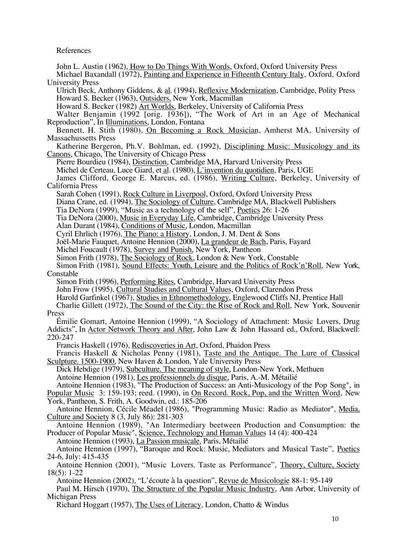References

John L. Austin (1962), How to Do Things With Words, Oxford, Oxford University Press Michael Baxandall (1972), Painting and Experience in Fifteenth Century Italy, Oxford, Oxford University Press Ulrich Beck, Anthony Giddens, & al. (1994), Reflexive Modernization, Cambridge, Polity Press Howard S. Becker (1963), Outsiders, New York, Macmillan Howard S. Becker (1982) Art Worlds, Berkeley, University of California Press Walter Benjamin (1992 [orig. 1936]), "The Work of Art in an Age of Mechanical Reproduction", In Illuminations, London, Fontana Bennett, H. Stith (1980), On Becoming a Rock Musician, Amherst MA, University of Massachussetts Press Katherine Bergeron, Ph.V. Bohlman, ed. (1992), Disciplining Music: Musicology and its Canons, Chicago, The University of Chicago Press Pierre Bourdieu (1984), Distinction, Cambridge MA, Harvard University Press Michel de Certeau, Luce Giard, et al. (1980), L'invention du quotidien, Paris, UGE James Clifford, George E. Marcus, ed. (1986), Writing Culture, Berkeley, University of California Press Sarah Cohen (1991), Rock Culture in Liverpool, Oxford, Oxford University Press Diana Crane, ed. (1994), The Sociology of Culture, Cambridge MA, Blackwell Publishers Tia DeNora (1999), "Music as a technology of the self", Poetics 26: 1-26 Tia DeNora (2000), Music in Everyday Life, Cambridge, Cambridge University Press Alan Durant (1984), Conditions of Music, London, Macmillan Cyril Ehrlich (1976), The Piano: a History, London, J. M. Dent & Sons Joël-Marie Fauquet, Antoine Hennion (2000), La grandeur de Bach, Paris, Fayard Michel Foucault (1978), Survey and Punish, New York, Pantheon Simon Frith (1978), The Sociology of Rock, London & New York, Constable Simon Frith (1981), Sound Effects: Youth, Leisure and the Politics of Rock'n'Roll, New York, Constable Simon Frith (1996), Performing Rites, Cambridge, Harvard University Press John Frow (1995), Cultural Studies and Cultural Values, Oxford, Clarendon Press Harold Garfinkel (1967), Studies in Ethnomethodology, Englewood Cliffs NJ, Prentice Hall Charlie Gillett (1972), The Sound of the City: the Rise of Rock and Roll, New York, Souvenir Press Émilie Gomart, Antoine Hennion (1999), "A Sociology of Attachment: Music Lovers, Drug Addicts", In Actor Network Theory and After, John Law & John Hassard ed., Oxford, Blackwell: 220-247 Francis Haskell (1976), Rediscoveries in Art, Oxford, Phaidon Press Francis Haskell & Nicholas Penny (1981), Taste and the Antique. The Lure of Classical Sculpture. 1500-1900, New Haven & London, Yale University Press Dick Hebdige (1979), Subculture. The meaning of style, London-New York, Methuen Antoine Hennion (1981), Les professionnels du disque, Paris, A.-M. Métailié Antoine Hennion (1983), "The Production of Success: an Anti-Musicology of the Pop Song", in Popular Music 3: 159-193; reed. (1990), in On Record. Rock, Pop, and the Written Word, New York, Pantheon, S. Frith, A. Goodwin, ed.: 185-206 Antoine Hennion, Cécile Méadel (1986), "Programming Music: Radio as Mediator", Media, Culture and Society 8 (3, July 86): 281-303 Antoine Hennion (1989), "An Intermediary beetween Production and Consumption: the Producer of Popular Music", Science, Technology and Human Values 14 (4): 400-424 Antoine Hennion (1993), La Passion musicale, Paris, Métailié Antoine Hennion (1997), "Baroque and Rock: Music, Mediators and Musical Taste", Poetics 24-6, July: 415-435 Antoine Hennion (2001), "Music Lovers. Taste as Performance", Theory, Culture, Society 18(5): 1-22 Antoine Hennion (2002), "L'écoute à la question", Revue de Musicologie 88-1: 95-149 Paul M. Hirsch (1970), The Structure of the Popular Music Industry, Ann Arbor, University of Michigan Press Richard Hoggart (1957), The Uses of Literacy, London, Chatto & Windus